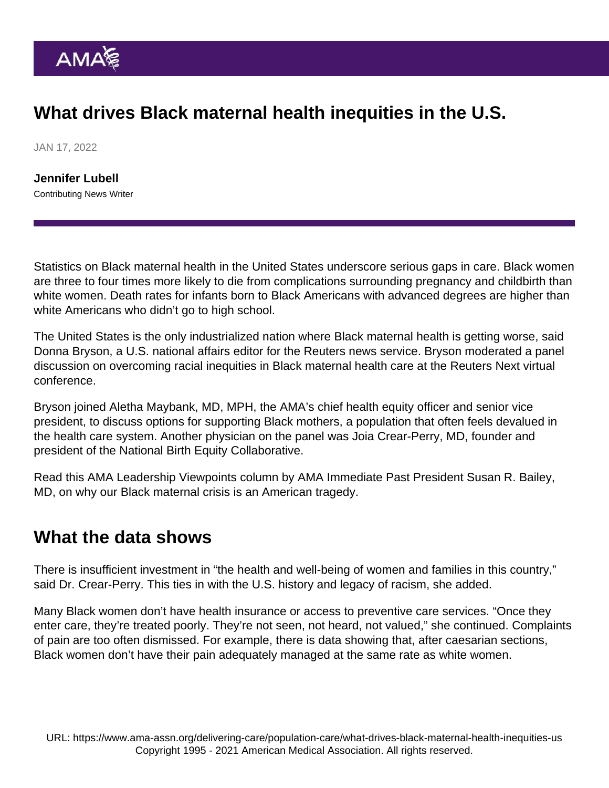## What drives Black maternal health inequities in the U.S.

JAN 17, 2022

[Jennifer Lubell](https://www.ama-assn.org/news-leadership-viewpoints/authors-news-leadership-viewpoints/jennifer-lubell) Contributing News Writer

Statistics on Black maternal health in the United States underscore serious gaps in care. Black women are [three to four times](https://www.cdc.gov/healthequity/features/maternal-mortality/index.html) more likely to die from complications surrounding pregnancy and childbirth than white women. Death rates for infants born to Black Americans with advanced degrees [are higher](https://www.ncbi.nlm.nih.gov/pmc/articles/PMC7951143/) than white Americans who didn't go to high school.

The United States is the only industrialized nation where Black maternal health is getting worse, said Donna Bryson, a U.S. national affairs editor for the Reuters news service. Bryson moderated a panel discussion on overcoming racial inequities in Black maternal health care at the Reuters Next virtual conference.

Bryson joined [Aletha Maybank, MD, MPH,](https://www.ama-assn.org/news-leadership-viewpoints/authors-news-leadership-viewpoints/aletha-maybank-md-mph) the AMA's chief health equity officer and senior vice president, to discuss options for supporting Black mothers, a population that often feels devalued in the health care system. Another physician on the panel was Joia Crear-Perry, MD, founder and president of the National Birth Equity Collaborative.

Read this AMA Leadership Viewpoints column by AMA Immediate Past President [Susan R. Bailey,](https://www.ama-assn.org/about/board-trustees/susan-r-bailey-md) [MD,](https://www.ama-assn.org/about/board-trustees/susan-r-bailey-md) on [why our Black maternal crisis is an American tragedy](https://www.ama-assn.org/about/leadership/our-black-maternal-health-crisis-american-tragedy).

## What the data shows

There is insufficient investment in "the health and well-being of women and families in this country," said Dr. Crear-Perry. This ties in with the U.S. history and legacy of racism, she added.

Many Black women don't have health insurance or access to preventive care services. "Once they enter care, they're treated poorly. They're not seen, not heard, not valued," she continued. Complaints of pain are too often dismissed. For example, there is [data showing](https://www.med.unc.edu/obgyn/study-finds-treatment-inequities-for-pain-following-cesarean-deliveries/) that, after caesarian sections, Black women don't have their pain adequately managed at the same rate as white women.